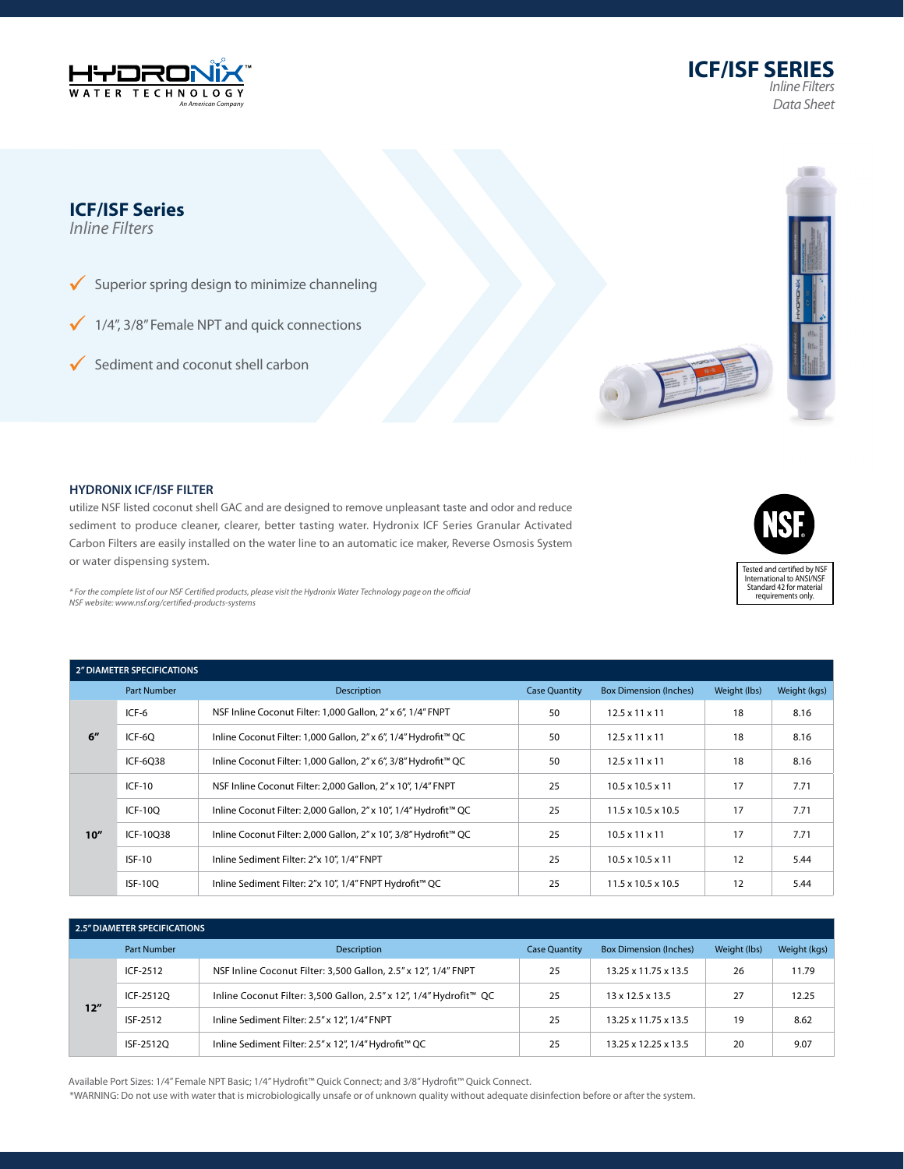







## **HYDRONIX ICF/ISF FILTER**

utilize NSF listed coconut shell GAC and are designed to remove unpleasant taste and odor and reduce sediment to produce cleaner, clearer, better tasting water. Hydronix ICF Series Granular Activated Carbon Filters are easily installed on the water line to an automatic ice maker, Reverse Osmosis System or water dispensing system.



 $*$  For the complete list of our NSF Certified products, please visit the Hydronix Water Technology page on the official *NSF website: www.nsf.org/certified-products-systems*

| <b>2" DIAMETER SPECIFICATIONS</b> |                    |                                                                  |                      |                                |              |              |  |
|-----------------------------------|--------------------|------------------------------------------------------------------|----------------------|--------------------------------|--------------|--------------|--|
|                                   | <b>Part Number</b> | Description                                                      | <b>Case Quantity</b> | <b>Box Dimension (Inches)</b>  | Weight (lbs) | Weight (kgs) |  |
| 6''                               | ICF-6              | NSF Inline Coconut Filter: 1,000 Gallon, 2" x 6", 1/4" FNPT      | 50                   | $12.5 \times 11 \times 11$     | 18           | 8.16         |  |
|                                   | ICF-60             | Inline Coconut Filter: 1,000 Gallon, 2" x 6", 1/4" Hydrofit™ QC  | 50                   | $12.5 \times 11 \times 11$     | 18           | 8.16         |  |
|                                   | ICF-6038           | Inline Coconut Filter: 1,000 Gallon, 2" x 6", 3/8" Hydrofit™ QC  | 50                   | $12.5 \times 11 \times 11$     | 18           | 8.16         |  |
| 10''                              | $ICF-10$           | NSF Inline Coconut Filter: 2,000 Gallon, 2" x 10", 1/4" FNPT     | 25                   | $10.5 \times 10.5 \times 11$   | 17           | 7.71         |  |
|                                   | <b>ICF-100</b>     | Inline Coconut Filter: 2,000 Gallon, 2" x 10", 1/4" Hydrofit™ QC | 25                   | $11.5 \times 10.5 \times 10.5$ | 17           | 7.71         |  |
|                                   | ICF-10038          | Inline Coconut Filter: 2,000 Gallon, 2" x 10", 3/8" Hydrofit™ QC | 25                   | $10.5 \times 11 \times 11$     | 17           | 7.71         |  |
|                                   | $ISF-10$           | Inline Sediment Filter: 2"x 10", 1/4" FNPT                       | 25                   | $10.5 \times 10.5 \times 11$   | 12           | 5.44         |  |
|                                   | <b>ISF-100</b>     | Inline Sediment Filter: 2"x 10", 1/4" FNPT Hydrofit™ QC          | 25                   | $11.5 \times 10.5 \times 10.5$ | 12           | 5.44         |  |

|     | 2.5" DIAMETER SPECIFICATIONS |                                                                    |                      |                               |              |              |
|-----|------------------------------|--------------------------------------------------------------------|----------------------|-------------------------------|--------------|--------------|
|     | <b>Part Number</b>           | Description                                                        | <b>Case Quantity</b> | <b>Box Dimension (Inches)</b> | Weight (lbs) | Weight (kgs) |
| 12" | ICF-2512                     | NSF Inline Coconut Filter: 3,500 Gallon, 2.5" x 12", 1/4" FNPT     | 25                   | 13.25 x 11.75 x 13.5          | 26           | 11.79        |
|     | ICF-25120                    | Inline Coconut Filter: 3,500 Gallon, 2.5" x 12", 1/4" Hydrofit™ QC | 25                   | $13 \times 12.5 \times 13.5$  | 27           | 12.25        |
|     | ISF-2512                     | Inline Sediment Filter: 2.5" x 12", 1/4" FNPT                      | 25                   | 13.25 x 11.75 x 13.5          | 19           | 8.62         |
|     | ISF-25120                    | Inline Sediment Filter: 2.5" x 12", 1/4" Hydrofit™ QC              | 25                   | 13.25 x 12.25 x 13.5          | 20           | 9.07         |

Available Port Sizes: 1/4" Female NPT Basic; 1/4" Hydrofit™ Quick Connect; and 3/8" Hydrofit™ Quick Connect.

\*WARNING: Do not use with water that is microbiologically unsafe or of unknown quality without adequate disinfection before or after the system.